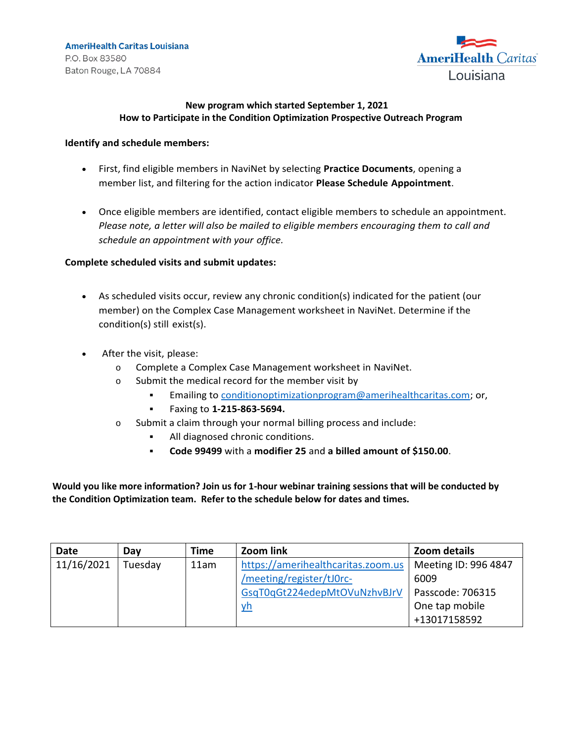**AmeriHealth Caritas Louisiana** P.O. Box 83580 Baton Rouge, LA 70884



## **New program which started September 1, 2021 How to Participate in the Condition Optimization Prospective Outreach Program**

## **Identify and schedule members:**

- First, find eligible members in NaviNet by selecting **Practice Documents**, opening a member list, and filtering for the action indicator **Please Schedule Appointment**.
- Once eligible members are identified, contact eligible members to schedule an appointment. *Please note, a letter will also be mailed to eligible members encouraging them to call and schedule an appointment with your office.*

## **Complete scheduled visits and submit updates:**

- As scheduled visits occur, review any chronic condition(s) indicated for the patient (our member) on the Complex Case Management worksheet in NaviNet. Determine if the condition(s) still exist(s).
- After the visit, please:
	- o Complete a Complex Case Management worksheet in NaviNet.
	- o Submit the medical record for the member visit by
		- **Emailing to [conditionoptimizationprogram@amerihealthcaritas.com;](mailto:conditionoptimizationprogram@amerihealthcaritas.com) or,**
		- Faxing to **1-215-863-5694.**
	- o Submit a claim through your normal billing process and include:
		- All diagnosed chronic conditions.
		- **Code 99499** with a **modifier 25** and **a billed amount of \$150.00**.

**Would you like more information? Join us for 1-hour webinar training sessions that will be conducted by the Condition Optimization team. Refer to the schedule below for dates and times.**

| Date       | Dav     | <b>Time</b> | Zoom link                          | Zoom details         |
|------------|---------|-------------|------------------------------------|----------------------|
| 11/16/2021 | Tuesday | 11am        | https://amerihealthcaritas.zoom.us | Meeting ID: 996 4847 |
|            |         |             | /meeting/register/tJ0rc-           | 6009                 |
|            |         |             | GsqT0qGt224edepMtOVuNzhvBJrV       | Passcode: 706315     |
|            |         |             | <u>vh</u>                          | One tap mobile       |
|            |         |             |                                    | +13017158592         |